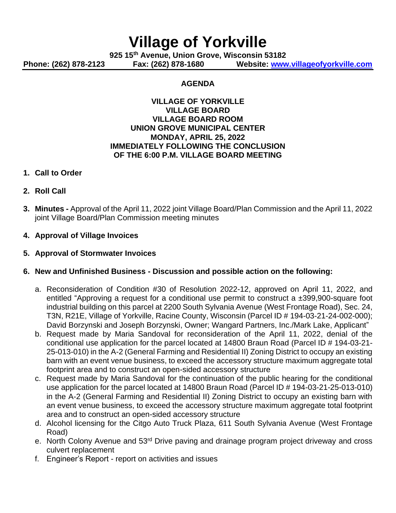# **Village of Yorkville**

**925 15th Avenue, Union Grove, Wisconsin 53182 Phone: (262) 878-2123 Fax: (262) 878-1680 Website: [www.villageofyorkville.com](http://www.villageofyorkville.com/)**

#### **AGENDA**

#### **VILLAGE OF YORKVILLE VILLAGE BOARD VILLAGE BOARD ROOM UNION GROVE MUNICIPAL CENTER MONDAY, APRIL 25, 2022 IMMEDIATELY FOLLOWING THE CONCLUSION OF THE 6:00 P.M. VILLAGE BOARD MEETING**

#### **1. Call to Order**

- **2. Roll Call**
- **3. Minutes -** Approval of the April 11, 2022 joint Village Board/Plan Commission and the April 11, 2022 joint Village Board/Plan Commission meeting minutes
- **4. Approval of Village Invoices**
- **5. Approval of Stormwater Invoices**

## **6. New and Unfinished Business - Discussion and possible action on the following:**

- a. Reconsideration of Condition #30 of Resolution 2022-12, approved on April 11, 2022, and entitled "Approving a request for a conditional use permit to construct a ±399,900-square foot industrial building on this parcel at 2200 South Sylvania Avenue (West Frontage Road), Sec. 24, T3N, R21E, Village of Yorkville, Racine County, Wisconsin (Parcel ID # 194-03-21-24-002-000); David Borzynski and Joseph Borzynski, Owner; Wangard Partners, Inc./Mark Lake, Applicant"
- b. Request made by Maria Sandoval for reconsideration of the April 11, 2022, denial of the conditional use application for the parcel located at 14800 Braun Road (Parcel ID # 194-03-21- 25-013-010) in the A-2 (General Farming and Residential II) Zoning District to occupy an existing barn with an event venue business, to exceed the accessory structure maximum aggregate total footprint area and to construct an open-sided accessory structure
- c. Request made by Maria Sandoval for the continuation of the public hearing for the conditional use application for the parcel located at 14800 Braun Road (Parcel ID # 194-03-21-25-013-010) in the A-2 (General Farming and Residential II) Zoning District to occupy an existing barn with an event venue business, to exceed the accessory structure maximum aggregate total footprint area and to construct an open-sided accessory structure
- d. Alcohol licensing for the Citgo Auto Truck Plaza, 611 South Sylvania Avenue (West Frontage Road)
- e. North Colony Avenue and 53<sup>rd</sup> Drive paving and drainage program project driveway and cross culvert replacement
- f. Engineer's Report report on activities and issues